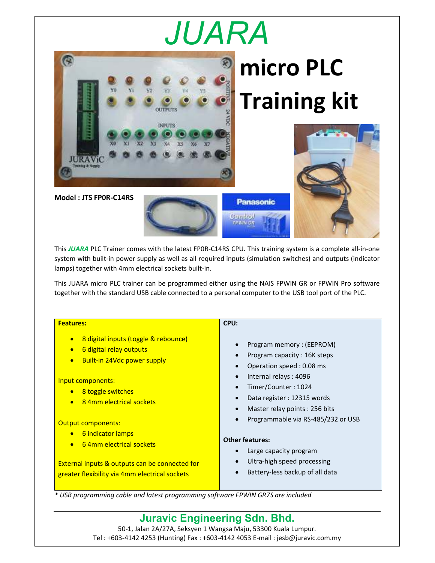## *JUARA*



This *JUARA* PLC Trainer comes with the latest FP0R-C14RS CPU. This training system is a complete all-in-one system with built-in power supply as well as all required inputs (simulation switches) and outputs (indicator lamps) together with 4mm electrical sockets built-in.

This JUARA micro PLC trainer can be programmed either using the NAIS FPWIN GR or FPWIN Pro software together with the standard USB cable connected to a personal computer to the USB tool port of the PLC.

| <b>Features:</b>                                                                                                                                                                                                                                                  | CPU:                                                                                                                                                                                                                                                               |
|-------------------------------------------------------------------------------------------------------------------------------------------------------------------------------------------------------------------------------------------------------------------|--------------------------------------------------------------------------------------------------------------------------------------------------------------------------------------------------------------------------------------------------------------------|
| 8 digital inputs (toggle & rebounce)<br>$\bullet$<br>6 digital relay outputs<br>$\bullet$<br>Built-in 24Vdc power supply<br>$\bullet$<br>Input components:<br>8 toggle switches<br>$\bullet$<br>84mm electrical sockets<br>$\bullet$<br><b>Output components:</b> | Program memory: (EEPROM)<br>Program capacity: 16K steps<br>Operation speed: 0.08 ms<br>Internal relays: 4096<br>$\bullet$<br>Timer/Counter: 1024<br>Data register: 12315 words<br>$\bullet$<br>Master relay points: 256 bits<br>Programmable via RS-485/232 or USB |
| 6 indicator lamps<br>$\bullet$<br>64mm electrical sockets<br>$\bullet$<br>External inputs & outputs can be connected for<br>greater flexibility via 4mm electrical sockets                                                                                        | <b>Other features:</b><br>Large capacity program<br>Ultra-high speed processing<br>$\bullet$<br>Battery-less backup of all data                                                                                                                                    |

*\* USB programming cable and latest programming software FPWIN GR7S are included* 

**Juravic Engineering Sdn. Bhd.** 50-1, Jalan 2A/27A, Seksyen 1 Wangsa Maju, 53300 Kuala Lumpur. Tel : +603-4142 4253 (Hunting) Fax : +603-4142 4053 E-mail : jesb@juravic.com.my